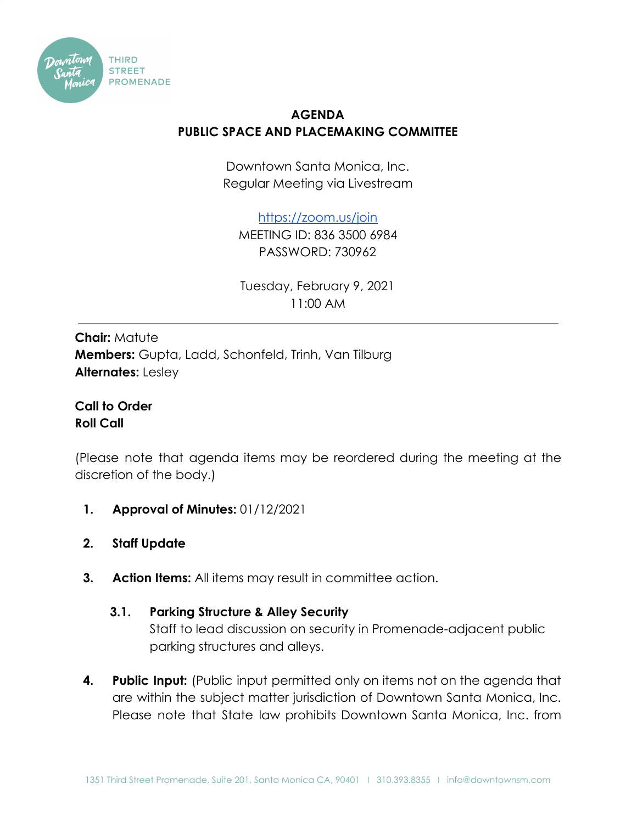

## **AGENDA PUBLIC SPACE AND PLACEMAKING COMMITTEE**

Downtown Santa Monica, Inc. Regular Meeting via Livestream

<https://zoom.us/join>

MEETING ID: 836 3500 6984 PASSWORD: 730962

Tuesday, February 9, 2021 11:00 AM

**Chair:** Matute **Members:** Gupta, Ladd, Schonfeld, Trinh, Van Tilburg **Alternates:** Lesley

**Call to Order Roll Call**

(Please note that agenda items may be reordered during the meeting at the discretion of the body.)

- **1. Approval of Minutes:** 01/12/2021
- **2. Staff Update**
- **3. Action Items:** All items may result in committee action.

## **3.1. Parking Structure & Alley Security**

Staff to lead discussion on security in Promenade-adjacent public parking structures and alleys.

**4. Public Input:** (Public input permitted only on items not on the agenda that are within the subject matter jurisdiction of Downtown Santa Monica, Inc. Please note that State law prohibits Downtown Santa Monica, Inc. from